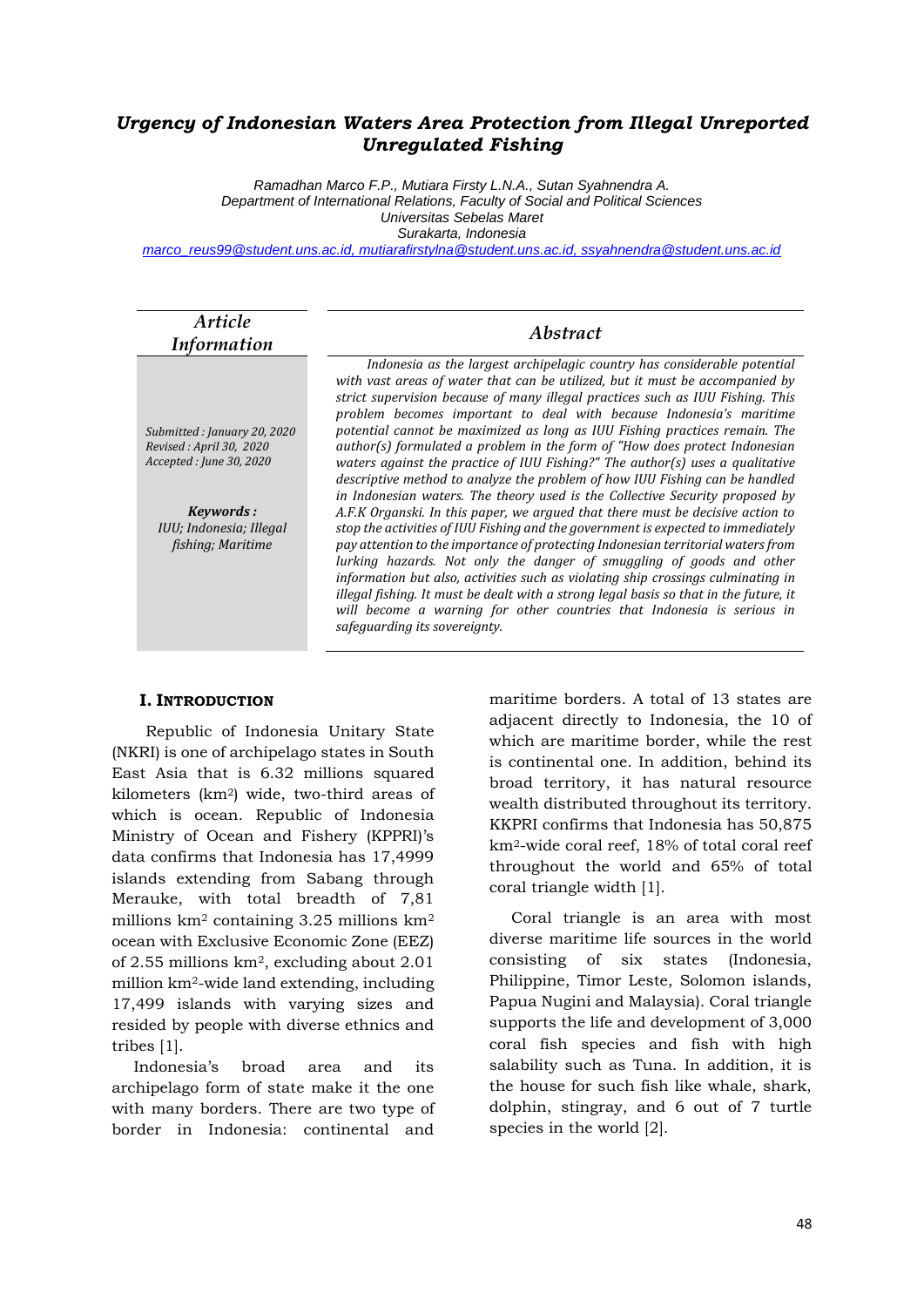### *Urgency of Indonesian Waters Area Protection from Illegal Unreported Unregulated Fishing*

*Ramadhan Marco F.P., Mutiara Firsty L.N.A., Sutan Syahnendra A. Department of International Relations, Faculty of Social and Political Sciences Universitas Sebelas Maret Surakarta, Indonesia*

*marco\_reus99@student.uns.ac.id, mutiarafirstylna@student.uns.ac.id, ssyahnendra@student.uns.ac.id*

| Article<br><b>Information</b>                                                                                                                   | <i>Abstract</i>                                                                                                                                                                                                                                                                                                                                                                                                                                                                                                                                                                                                                                                                                                                                                                                                                                                                                                                                                                                                                                                                                                                                                                                                                                                                                                                                         |  |  |  |  |
|-------------------------------------------------------------------------------------------------------------------------------------------------|---------------------------------------------------------------------------------------------------------------------------------------------------------------------------------------------------------------------------------------------------------------------------------------------------------------------------------------------------------------------------------------------------------------------------------------------------------------------------------------------------------------------------------------------------------------------------------------------------------------------------------------------------------------------------------------------------------------------------------------------------------------------------------------------------------------------------------------------------------------------------------------------------------------------------------------------------------------------------------------------------------------------------------------------------------------------------------------------------------------------------------------------------------------------------------------------------------------------------------------------------------------------------------------------------------------------------------------------------------|--|--|--|--|
| Submitted: January 20, 2020<br>Revised: April 30, 2020<br>Accepted : June 30, 2020<br>Keywords:<br>IUU; Indonesia; Illegal<br>fishing; Maritime | Indonesia as the largest archipelagic country has considerable potential<br>with vast areas of water that can be utilized, but it must be accompanied by<br>strict supervision because of many illegal practices such as IUU Fishing. This<br>problem becomes important to deal with because Indonesia's maritime<br>potential cannot be maximized as long as IUU Fishing practices remain. The<br>author(s) formulated a problem in the form of "How does protect Indonesian<br>waters against the practice of IUU Fishing?" The author(s) uses a qualitative<br>descriptive method to analyze the problem of how IUU Fishing can be handled<br>in Indonesian waters. The theory used is the Collective Security proposed by<br>A.F.K Organski. In this paper, we argued that there must be decisive action to<br>stop the activities of IUU Fishing and the government is expected to immediately<br>pay attention to the importance of protecting Indonesian territorial waters from<br>lurking hazards. Not only the danger of smuggling of goods and other<br>information but also, activities such as violating ship crossings culminating in<br>illegal fishing. It must be dealt with a strong legal basis so that in the future, it<br>will become a warning for other countries that Indonesia is serious in<br>safeguarding its sovereignty. |  |  |  |  |

#### **I. INTRODUCTION**

Republic of Indonesia Unitary State (NKRI) is one of archipelago states in South East Asia that is 6.32 millions squared kilometers (km2) wide, two-third areas of which is ocean. Republic of Indonesia Ministry of Ocean and Fishery (KPPRI)'s data confirms that Indonesia has 17,4999 islands extending from Sabang through Merauke, with total breadth of 7,81 millions km<sup>2</sup> containing 3.25 millions km<sup>2</sup> ocean with Exclusive Economic Zone (EEZ) of 2.55 millions km2, excluding about 2.01 million km2-wide land extending, including 17,499 islands with varying sizes and resided by people with diverse ethnics and tribes [1].

Indonesia's broad area and its archipelago form of state make it the one with many borders. There are two type of border in Indonesia: continental and

maritime borders. A total of 13 states are adjacent directly to Indonesia, the 10 of which are maritime border, while the rest is continental one. In addition, behind its broad territory, it has natural resource wealth distributed throughout its territory. KKPRI confirms that Indonesia has 50,875 km2-wide coral reef, 18% of total coral reef throughout the world and 65% of total coral triangle width [1].

Coral triangle is an area with most diverse maritime life sources in the world consisting of six states (Indonesia, Philippine, Timor Leste, Solomon islands, Papua Nugini and Malaysia). Coral triangle supports the life and development of 3,000 coral fish species and fish with high salability such as Tuna. In addition, it is the house for such fish like whale, shark, dolphin, stingray, and 6 out of 7 turtle species in the world [2].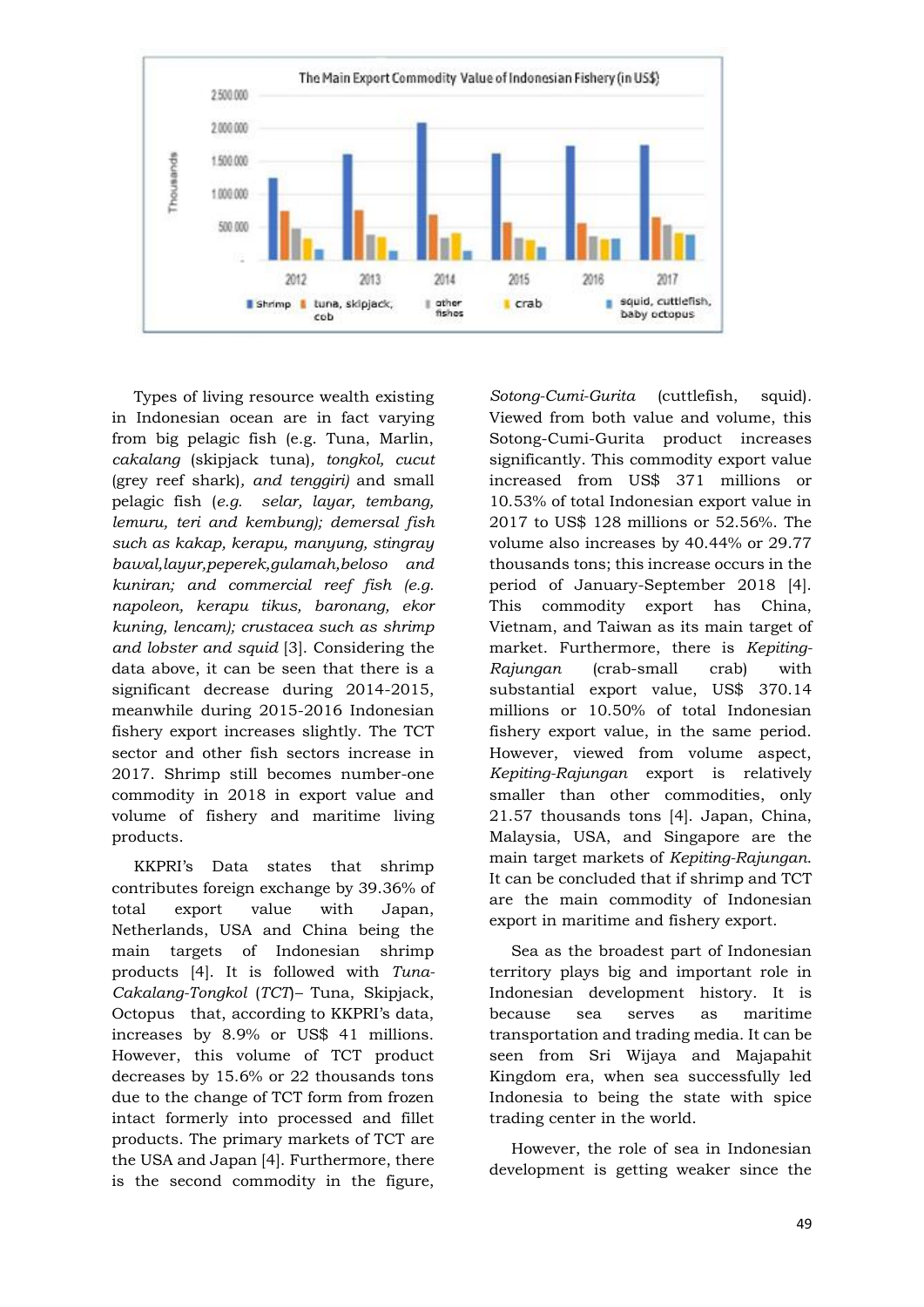

Types of living resource wealth existing in Indonesian ocean are in fact varying from big pelagic fish (e.g. Tuna, Marlin, *cakalang* (skipjack tuna)*, tongkol, cucut* (grey reef shark)*, and tenggiri)* and small pelagic fish (*e.g. selar, layar, tembang, lemuru, teri and kembung); demersal fish such as kakap, kerapu, manyung, stingray bawal,layur,peperek,gulamah,beloso and kuniran; and commercial reef fish (e.g. napoleon, kerapu tikus, baronang, ekor kuning, lencam); crustacea such as shrimp and lobster and squid* [3]. Considering the data above, it can be seen that there is a significant decrease during 2014-2015, meanwhile during 2015-2016 Indonesian fishery export increases slightly. The TCT sector and other fish sectors increase in 2017. Shrimp still becomes number-one commodity in 2018 in export value and volume of fishery and maritime living products.

KKPRI's Data states that shrimp contributes foreign exchange by 39.36% of total export value with Japan, Netherlands, USA and China being the main targets of Indonesian shrimp products [4]. It is followed with *Tuna-Cakalang-Tongkol* (*TCT*)*–* Tuna, Skipjack, Octopus that, according to KKPRI's data, increases by 8.9% or US\$ 41 millions. However, this volume of TCT product decreases by 15.6% or 22 thousands tons due to the change of TCT form from frozen intact formerly into processed and fillet products. The primary markets of TCT are the USA and Japan [4]. Furthermore, there is the second commodity in the figure, *Sotong-Cumi-Gurita* (cuttlefish, squid)*.* Viewed from both value and volume, this Sotong-Cumi-Gurita product increases significantly. This commodity export value increased from US\$ 371 millions or 10.53% of total Indonesian export value in 2017 to US\$ 128 millions or 52.56%. The volume also increases by 40.44% or 29.77 thousands tons; this increase occurs in the period of January-September 2018 [4]. This commodity export has China, Vietnam, and Taiwan as its main target of market. Furthermore, there is *Kepiting-Rajungan* (crab-small crab) with substantial export value, US\$ 370.14 millions or 10.50% of total Indonesian fishery export value, in the same period. However, viewed from volume aspect, *Kepiting-Rajungan* export is relatively smaller than other commodities, only 21.57 thousands tons [4]. Japan, China, Malaysia, USA, and Singapore are the main target markets of *Kepiting-Rajungan*. It can be concluded that if shrimp and TCT are the main commodity of Indonesian export in maritime and fishery export.

Sea as the broadest part of Indonesian territory plays big and important role in Indonesian development history. It is because sea serves as maritime transportation and trading media. It can be seen from Sri Wijaya and Majapahit Kingdom era, when sea successfully led Indonesia to being the state with spice trading center in the world.

However, the role of sea in Indonesian development is getting weaker since the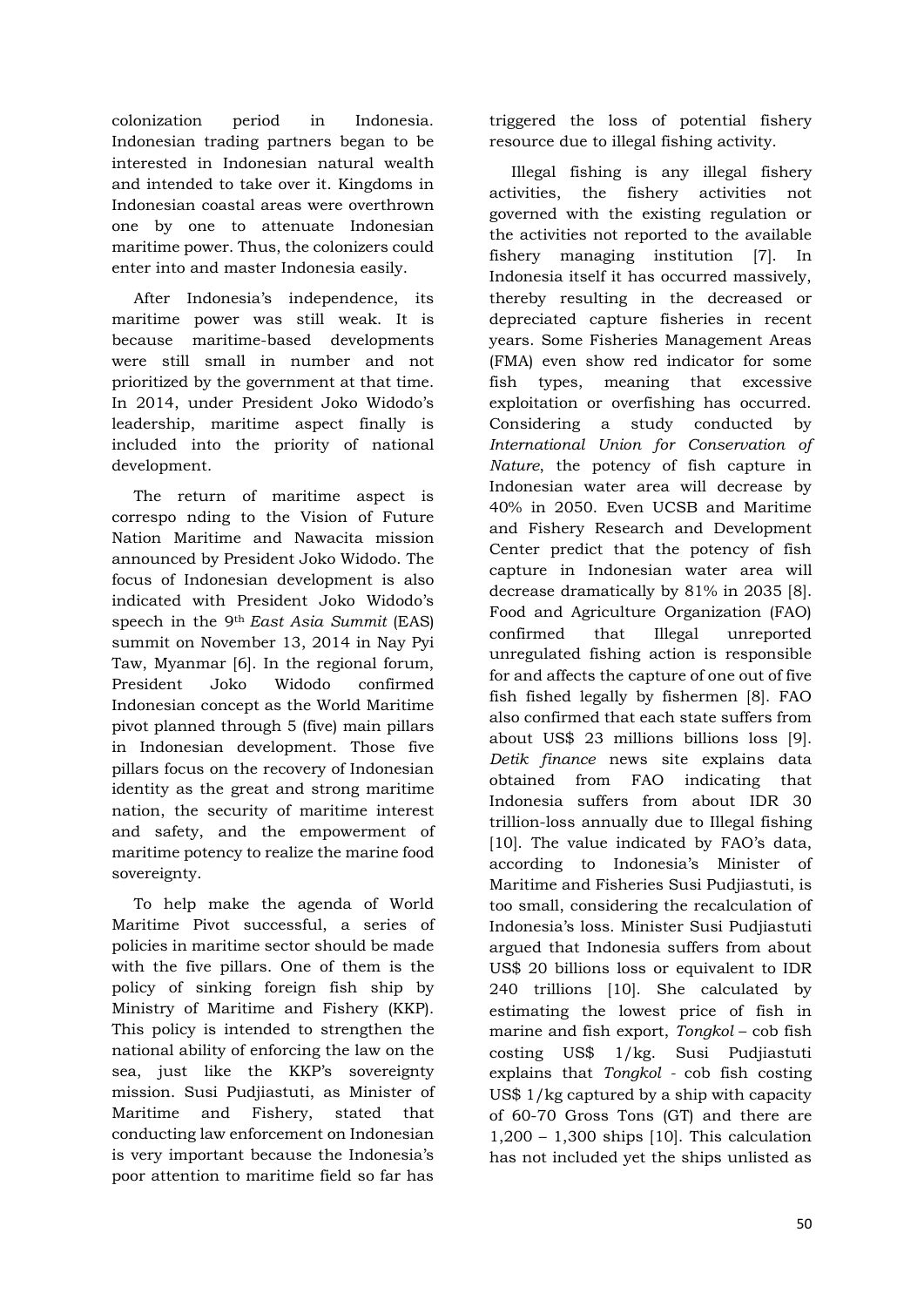colonization period in Indonesia. Indonesian trading partners began to be interested in Indonesian natural wealth and intended to take over it. Kingdoms in Indonesian coastal areas were overthrown one by one to attenuate Indonesian maritime power. Thus, the colonizers could enter into and master Indonesia easily.

After Indonesia's independence, its maritime power was still weak. It is because maritime-based developments were still small in number and not prioritized by the government at that time. In 2014, under President Joko Widodo's leadership, maritime aspect finally is included into the priority of national development.

The return of maritime aspect is correspo nding to the Vision of Future Nation Maritime and Nawacita mission announced by President Joko Widodo. The focus of Indonesian development is also indicated with President Joko Widodo's speech in the 9th *East Asia Summit* (EAS) summit on November 13, 2014 in Nay Pyi Taw, Myanmar [6]. In the regional forum, President Joko Widodo confirmed Indonesian concept as the World Maritime pivot planned through 5 (five) main pillars in Indonesian development. Those five pillars focus on the recovery of Indonesian identity as the great and strong maritime nation, the security of maritime interest and safety, and the empowerment of maritime potency to realize the marine food sovereignty.

To help make the agenda of World Maritime Pivot successful, a series of policies in maritime sector should be made with the five pillars. One of them is the policy of sinking foreign fish ship by Ministry of Maritime and Fishery (KKP). This policy is intended to strengthen the national ability of enforcing the law on the sea, just like the KKP's sovereignty mission. Susi Pudjiastuti, as Minister of Maritime and Fishery, stated that conducting law enforcement on Indonesian is very important because the Indonesia's poor attention to maritime field so far has

triggered the loss of potential fishery resource due to illegal fishing activity.

Illegal fishing is any illegal fishery activities, the fishery activities not governed with the existing regulation or the activities not reported to the available fishery managing institution [7]. In Indonesia itself it has occurred massively, thereby resulting in the decreased or depreciated capture fisheries in recent years. Some Fisheries Management Areas (FMA) even show red indicator for some fish types, meaning that excessive exploitation or overfishing has occurred. Considering a study conducted by *International Union for Conservation of Nature*, the potency of fish capture in Indonesian water area will decrease by 40% in 2050. Even UCSB and Maritime and Fishery Research and Development Center predict that the potency of fish capture in Indonesian water area will decrease dramatically by 81% in 2035 [8]. Food and Agriculture Organization (FAO) confirmed that Illegal unreported unregulated fishing action is responsible for and affects the capture of one out of five fish fished legally by fishermen [8]. FAO also confirmed that each state suffers from about US\$ 23 millions billions loss [9]. *Detik finance* news site explains data obtained from FAO indicating that Indonesia suffers from about IDR 30 trillion-loss annually due to Illegal fishing [10]. The value indicated by FAO's data, according to Indonesia's Minister of Maritime and Fisheries Susi Pudjiastuti, is too small, considering the recalculation of Indonesia's loss. Minister Susi Pudjiastuti argued that Indonesia suffers from about US\$ 20 billions loss or equivalent to IDR 240 trillions [10]. She calculated by estimating the lowest price of fish in marine and fish export, *Tongkol* – cob fish costing US\$ 1/kg. Susi Pudjiastuti explains that *Tongkol -* cob fish costing US\$ 1/kg captured by a ship with capacity of 60-70 Gross Tons (GT) and there are 1,200 – 1,300 ships [10]. This calculation has not included yet the ships unlisted as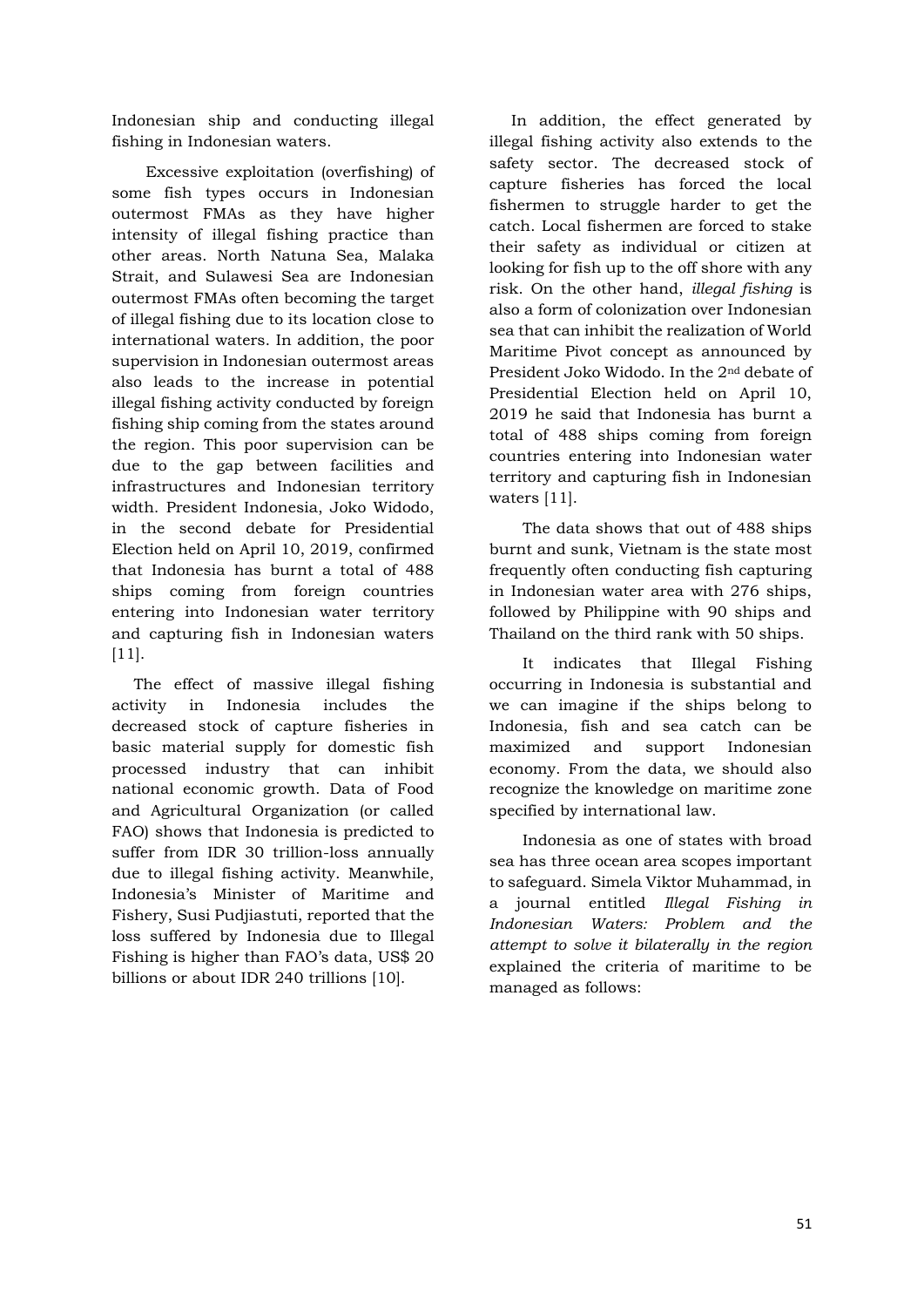Indonesian ship and conducting illegal fishing in Indonesian waters.

Excessive exploitation (overfishing) of some fish types occurs in Indonesian outermost FMAs as they have higher intensity of illegal fishing practice than other areas. North Natuna Sea, Malaka Strait, and Sulawesi Sea are Indonesian outermost FMAs often becoming the target of illegal fishing due to its location close to international waters. In addition, the poor supervision in Indonesian outermost areas also leads to the increase in potential illegal fishing activity conducted by foreign fishing ship coming from the states around the region. This poor supervision can be due to the gap between facilities and infrastructures and Indonesian territory width. President Indonesia, Joko Widodo, in the second debate for Presidential Election held on April 10, 2019, confirmed that Indonesia has burnt a total of 488 ships coming from foreign countries entering into Indonesian water territory and capturing fish in Indonesian waters [11].

The effect of massive illegal fishing activity in Indonesia includes the decreased stock of capture fisheries in basic material supply for domestic fish processed industry that can inhibit national economic growth. Data of Food and Agricultural Organization (or called FAO) shows that Indonesia is predicted to suffer from IDR 30 trillion-loss annually due to illegal fishing activity. Meanwhile, Indonesia's Minister of Maritime and Fishery, Susi Pudjiastuti, reported that the loss suffered by Indonesia due to Illegal Fishing is higher than FAO's data, US\$ 20 billions or about IDR 240 trillions [10].

In addition, the effect generated by illegal fishing activity also extends to the safety sector. The decreased stock of capture fisheries has forced the local fishermen to struggle harder to get the catch. Local fishermen are forced to stake their safety as individual or citizen at looking for fish up to the off shore with any risk. On the other hand, *illegal fishing* is also a form of colonization over Indonesian sea that can inhibit the realization of World Maritime Pivot concept as announced by President Joko Widodo. In the 2nd debate of Presidential Election held on April 10, 2019 he said that Indonesia has burnt a total of 488 ships coming from foreign countries entering into Indonesian water territory and capturing fish in Indonesian waters [11].

The data shows that out of 488 ships burnt and sunk, Vietnam is the state most frequently often conducting fish capturing in Indonesian water area with 276 ships, followed by Philippine with 90 ships and Thailand on the third rank with 50 ships.

It indicates that Illegal Fishing occurring in Indonesia is substantial and we can imagine if the ships belong to Indonesia, fish and sea catch can be maximized and support Indonesian economy. From the data, we should also recognize the knowledge on maritime zone specified by international law.

Indonesia as one of states with broad sea has three ocean area scopes important to safeguard. Simela Viktor Muhammad, in a journal entitled *Illegal Fishing in Indonesian Waters: Problem and the attempt to solve it bilaterally in the region* explained the criteria of maritime to be managed as follows: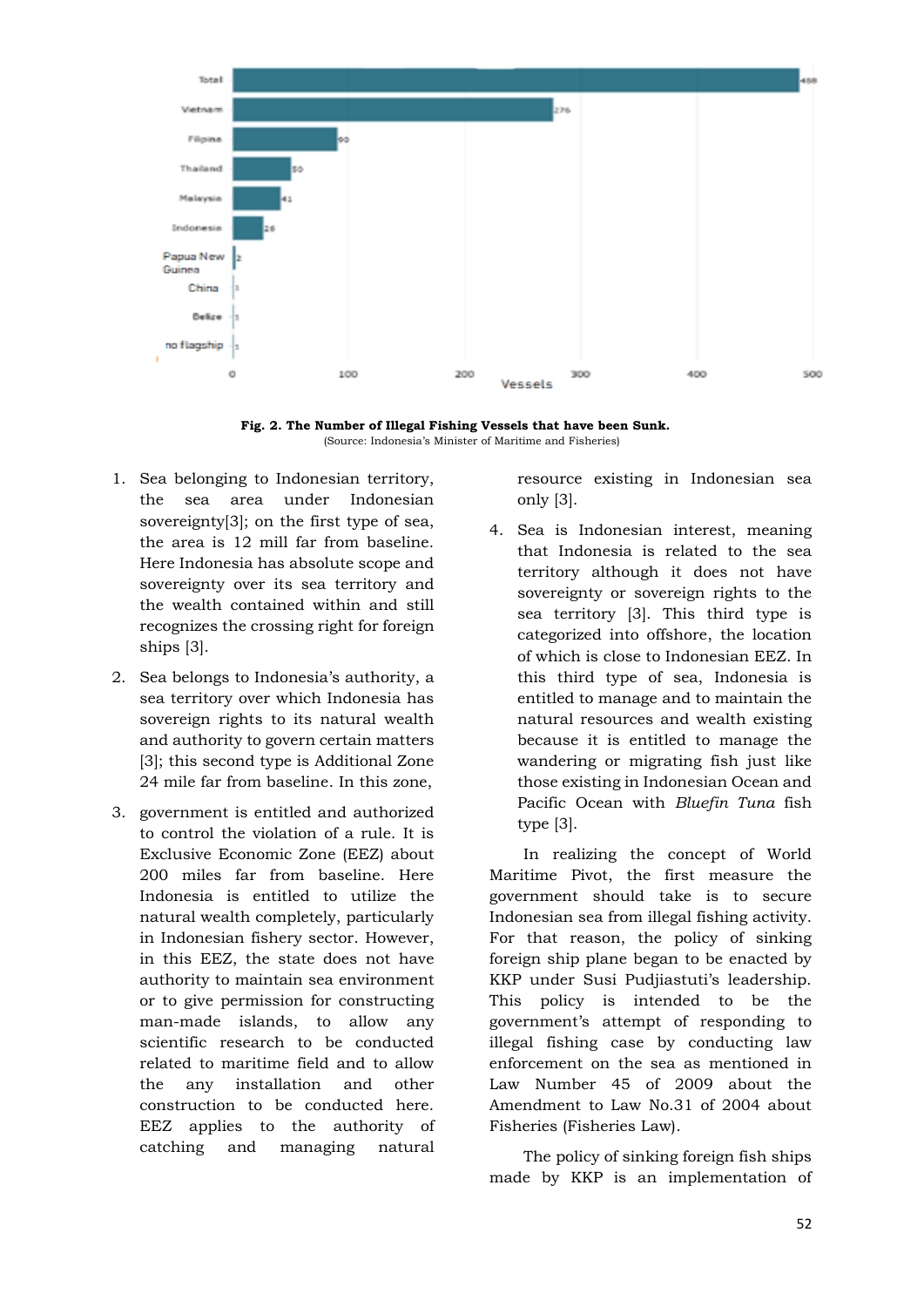

**Fig. 2. The Number of Illegal Fishing Vessels that have been Sunk.** (Source: Indonesia's Minister of Maritime and Fisheries)

- 1. Sea belonging to Indonesian territory, the sea area under Indonesian sovereignty[3]; on the first type of sea, the area is 12 mill far from baseline. Here Indonesia has absolute scope and sovereignty over its sea territory and the wealth contained within and still recognizes the crossing right for foreign ships [3].
- 2. Sea belongs to Indonesia's authority, a sea territory over which Indonesia has sovereign rights to its natural wealth and authority to govern certain matters [3]; this second type is Additional Zone 24 mile far from baseline. In this zone,
- 3. government is entitled and authorized to control the violation of a rule. It is Exclusive Economic Zone (EEZ) about 200 miles far from baseline. Here Indonesia is entitled to utilize the natural wealth completely, particularly in Indonesian fishery sector. However, in this EEZ, the state does not have authority to maintain sea environment or to give permission for constructing man-made islands, to allow any scientific research to be conducted related to maritime field and to allow the any installation and other construction to be conducted here. EEZ applies to the authority of catching and managing natural

resource existing in Indonesian sea only [3].

4. Sea is Indonesian interest, meaning that Indonesia is related to the sea territory although it does not have sovereignty or sovereign rights to the sea territory [3]. This third type is categorized into offshore, the location of which is close to Indonesian EEZ. In this third type of sea, Indonesia is entitled to manage and to maintain the natural resources and wealth existing because it is entitled to manage the wandering or migrating fish just like those existing in Indonesian Ocean and Pacific Ocean with *Bluefin Tuna* fish type [3].

In realizing the concept of World Maritime Pivot, the first measure the government should take is to secure Indonesian sea from illegal fishing activity. For that reason, the policy of sinking foreign ship plane began to be enacted by KKP under Susi Pudjiastuti's leadership. This policy is intended to be the government's attempt of responding to illegal fishing case by conducting law enforcement on the sea as mentioned in Law Number 45 of 2009 about the Amendment to Law No.31 of 2004 about Fisheries (Fisheries Law).

The policy of sinking foreign fish ships made by KKP is an implementation of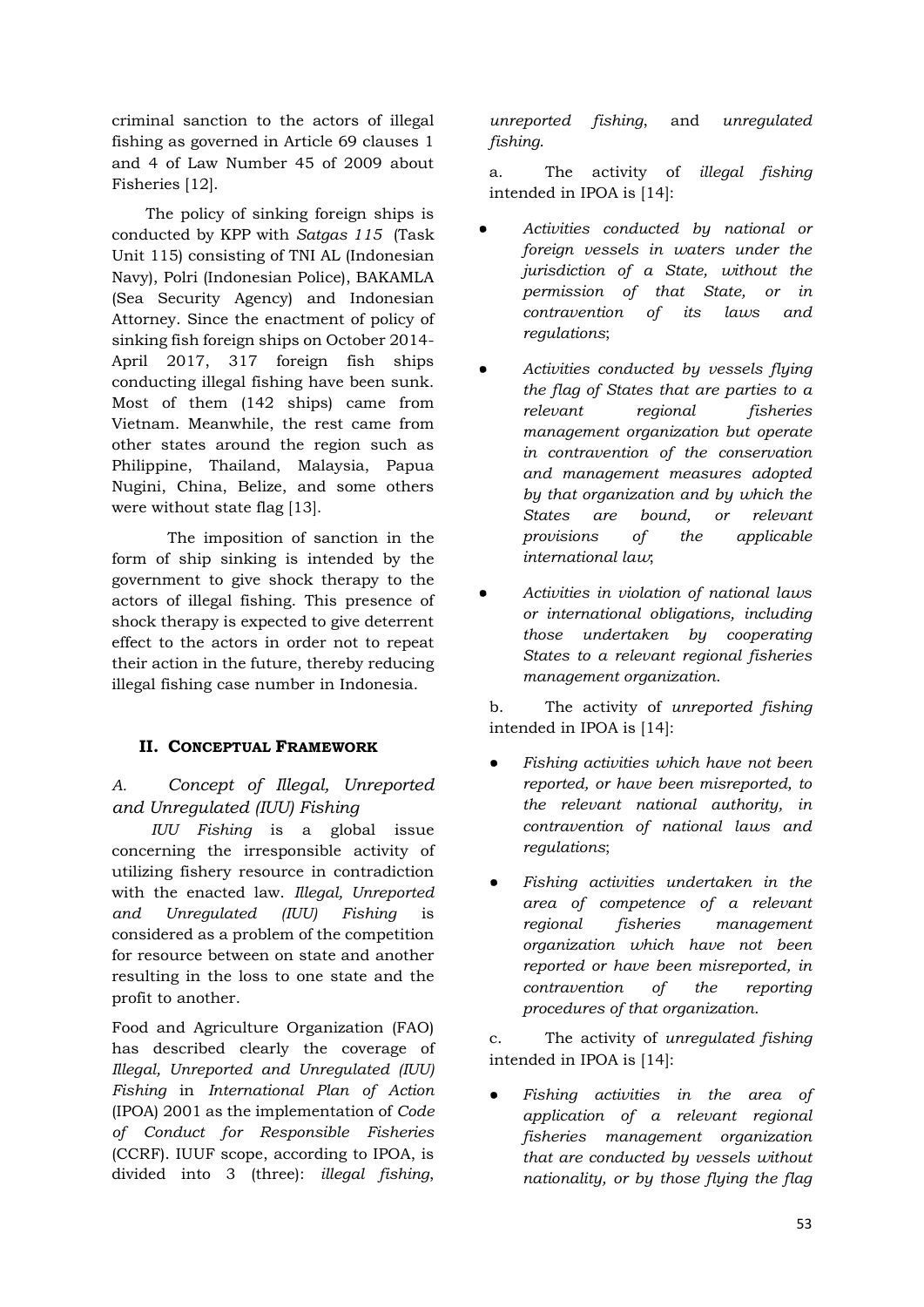criminal sanction to the actors of illegal fishing as governed in Article 69 clauses 1 and 4 of Law Number 45 of 2009 about Fisheries [12].

The policy of sinking foreign ships is conducted by KPP with *Satgas 115* (Task Unit 115) consisting of TNI AL (Indonesian Navy), Polri (Indonesian Police), BAKAMLA (Sea Security Agency) and Indonesian Attorney. Since the enactment of policy of sinking fish foreign ships on October 2014- April 2017, 317 foreign fish ships conducting illegal fishing have been sunk. Most of them (142 ships) came from Vietnam. Meanwhile, the rest came from other states around the region such as Philippine, Thailand, Malaysia, Papua Nugini, China, Belize, and some others were without state flag [13].

The imposition of sanction in the form of ship sinking is intended by the government to give shock therapy to the actors of illegal fishing. This presence of shock therapy is expected to give deterrent effect to the actors in order not to repeat their action in the future, thereby reducing illegal fishing case number in Indonesia.

# **II. CONCEPTUAL FRAMEWORK**

# *A. Concept of Illegal, Unreported and Unregulated (IUU) Fishing*

*IUU Fishing* is a global issue concerning the irresponsible activity of utilizing fishery resource in contradiction with the enacted law. *Illegal, Unreported and Unregulated (IUU) Fishing* is considered as a problem of the competition for resource between on state and another resulting in the loss to one state and the profit to another.

Food and Agriculture Organization (FAO) has described clearly the coverage of *Illegal, Unreported and Unregulated (IUU) Fishing* in *International Plan of Action* (IPOA) 2001 as the implementation of *Code of Conduct for Responsible Fisheries* (CCRF). IUUF scope, according to IPOA, is divided into 3 (three): *illegal fishing*,

*unreported fishing*, and *unregulated fishing*.

a. The activity of *illegal fishing* intended in IPOA is [14]:

- *Activities conducted by national or foreign vessels in waters under the jurisdiction of a State, without the permission of that State, or in contravention of its laws and regulations*;
- *Activities conducted by vessels flying the flag of States that are parties to a relevant regional fisheries management organization but operate in contravention of the conservation and management measures adopted by that organization and by which the States are bound, or relevant provisions of the applicable international law*;
- *Activities in violation of national laws or international obligations, including those undertaken by cooperating States to a relevant regional fisheries management organization*.

b. The activity of *unreported fishing* intended in IPOA is [14]:

- $F$ *ishing activities which have not been reported, or have been misreported, to the relevant national authority, in contravention of national laws and regulations*;
- *Fishing activities undertaken in the area of competence of a relevant regional fisheries management organization which have not been reported or have been misreported, in contravention of the reporting procedures of that organization*.

c. The activity of *unregulated fishing* intended in IPOA is [14]:

Fishing activities in the area of *application of a relevant regional fisheries management organization that are conducted by vessels without nationality, or by those flying the flag*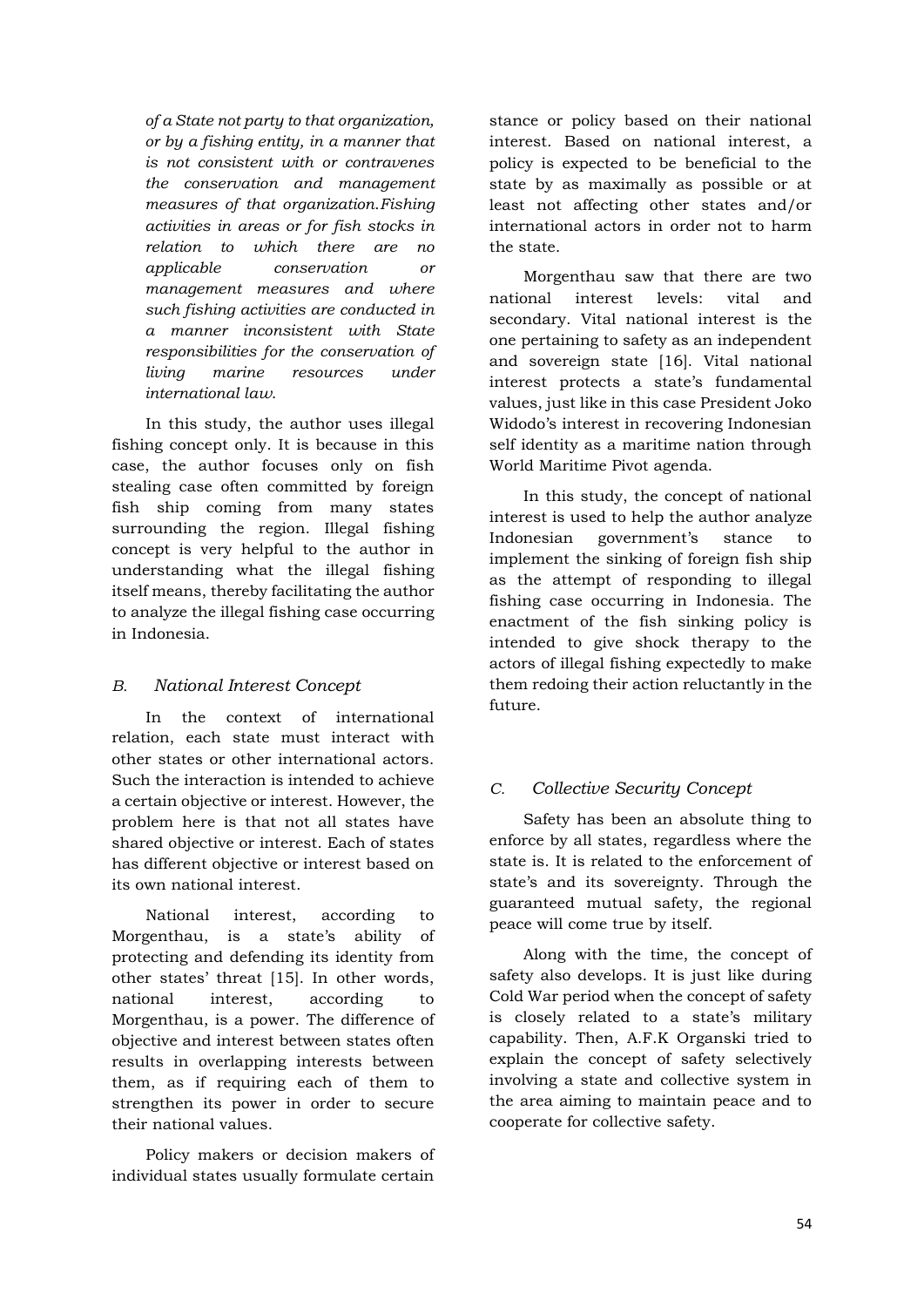*of a State not party to that organization, or by a fishing entity, in a manner that is not consistent with or contravenes the conservation and management measures of that organization*.*Fishing activities in areas or for fish stocks in relation to which there are no applicable conservation or management measures and where such fishing activities are conducted in a manner inconsistent with State responsibilities for the conservation of living marine resources under international law*.

In this study, the author uses illegal fishing concept only. It is because in this case, the author focuses only on fish stealing case often committed by foreign fish ship coming from many states surrounding the region. Illegal fishing concept is very helpful to the author in understanding what the illegal fishing itself means, thereby facilitating the author to analyze the illegal fishing case occurring in Indonesia.

#### *B. National Interest Concept*

In the context of international relation, each state must interact with other states or other international actors. Such the interaction is intended to achieve a certain objective or interest. However, the problem here is that not all states have shared objective or interest. Each of states has different objective or interest based on its own national interest.

National interest, according to Morgenthau, is a state's ability of protecting and defending its identity from other states' threat [15]. In other words, national interest, according to Morgenthau, is a power. The difference of objective and interest between states often results in overlapping interests between them, as if requiring each of them to strengthen its power in order to secure their national values.

Policy makers or decision makers of individual states usually formulate certain

stance or policy based on their national interest. Based on national interest, a policy is expected to be beneficial to the state by as maximally as possible or at least not affecting other states and/or international actors in order not to harm the state.

Morgenthau saw that there are two national interest levels: vital and secondary. Vital national interest is the one pertaining to safety as an independent and sovereign state [16]. Vital national interest protects a state's fundamental values, just like in this case President Joko Widodo's interest in recovering Indonesian self identity as a maritime nation through World Maritime Pivot agenda.

In this study, the concept of national interest is used to help the author analyze Indonesian government's stance to implement the sinking of foreign fish ship as the attempt of responding to illegal fishing case occurring in Indonesia. The enactment of the fish sinking policy is intended to give shock therapy to the actors of illegal fishing expectedly to make them redoing their action reluctantly in the future.

### *C. Collective Security Concept*

Safety has been an absolute thing to enforce by all states, regardless where the state is. It is related to the enforcement of state's and its sovereignty. Through the guaranteed mutual safety, the regional peace will come true by itself.

Along with the time, the concept of safety also develops. It is just like during Cold War period when the concept of safety is closely related to a state's military capability. Then, A.F.K Organski tried to explain the concept of safety selectively involving a state and collective system in the area aiming to maintain peace and to cooperate for collective safety.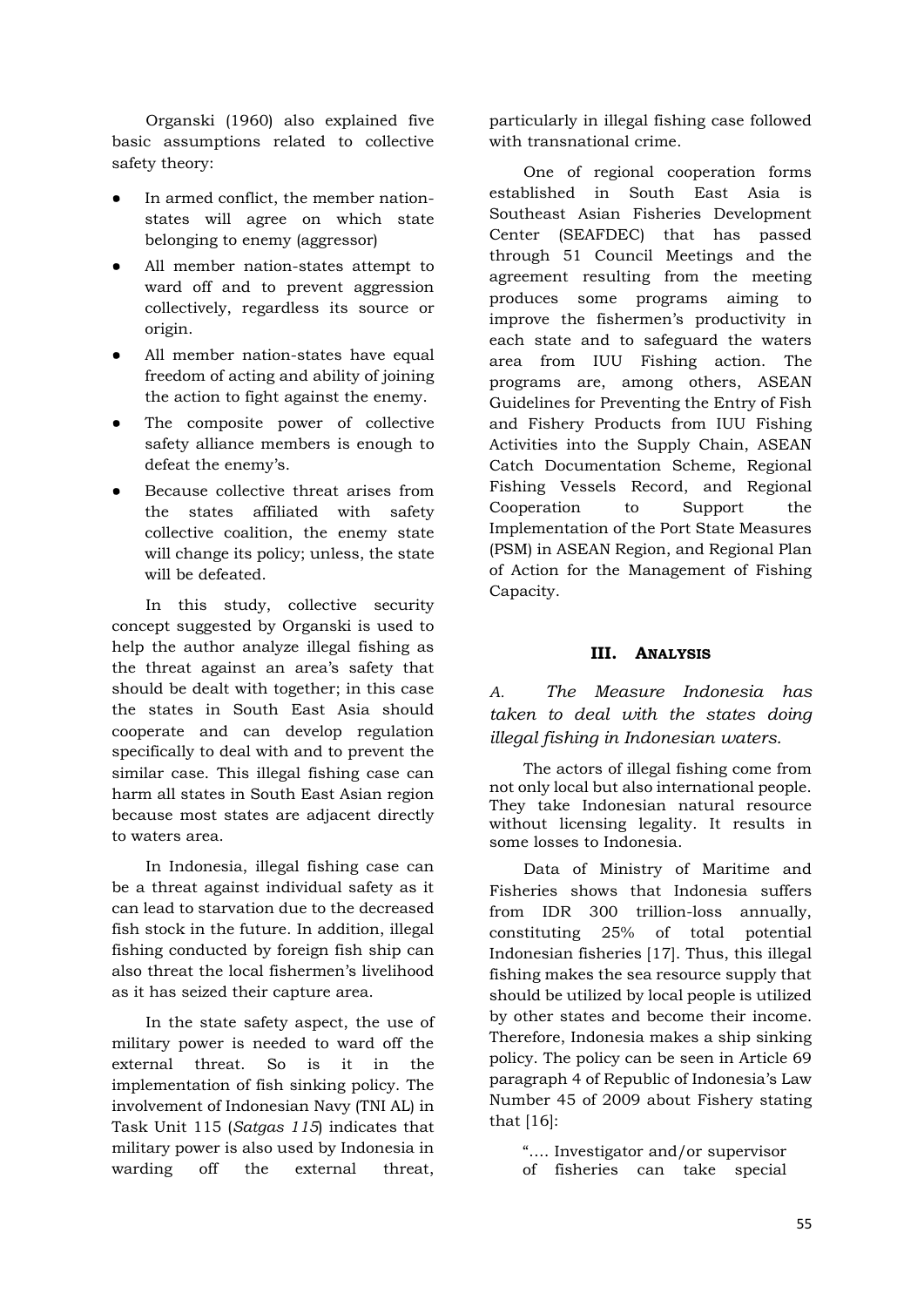Organski (1960) also explained five basic assumptions related to collective safety theory:

- In armed conflict, the member nationstates will agree on which state belonging to enemy (aggressor)
- All member nation-states attempt to ward off and to prevent aggression collectively, regardless its source or origin.
- All member nation-states have equal freedom of acting and ability of joining the action to fight against the enemy.
- The composite power of collective safety alliance members is enough to defeat the enemy's.
- Because collective threat arises from the states affiliated with safety collective coalition, the enemy state will change its policy; unless, the state will be defeated.

In this study, collective security concept suggested by Organski is used to help the author analyze illegal fishing as the threat against an area's safety that should be dealt with together; in this case the states in South East Asia should cooperate and can develop regulation specifically to deal with and to prevent the similar case. This illegal fishing case can harm all states in South East Asian region because most states are adjacent directly to waters area.

In Indonesia, illegal fishing case can be a threat against individual safety as it can lead to starvation due to the decreased fish stock in the future. In addition, illegal fishing conducted by foreign fish ship can also threat the local fishermen's livelihood as it has seized their capture area.

In the state safety aspect, the use of military power is needed to ward off the external threat. So is it in the implementation of fish sinking policy. The involvement of Indonesian Navy (TNI AL) in Task Unit 115 (*Satgas 115*) indicates that military power is also used by Indonesia in warding off the external threat,

particularly in illegal fishing case followed with transnational crime.

One of regional cooperation forms established in South East Asia is Southeast Asian Fisheries Development Center (SEAFDEC) that has passed through 51 Council Meetings and the agreement resulting from the meeting produces some programs aiming to improve the fishermen's productivity in each state and to safeguard the waters area from IUU Fishing action. The programs are, among others, ASEAN Guidelines for Preventing the Entry of Fish and Fishery Products from IUU Fishing Activities into the Supply Chain, ASEAN Catch Documentation Scheme, Regional Fishing Vessels Record, and Regional Cooperation to Support the Implementation of the Port State Measures (PSM) in ASEAN Region, and Regional Plan of Action for the Management of Fishing Capacity.

#### **III. ANALYSIS**

*A. The Measure Indonesia has taken to deal with the states doing illegal fishing in Indonesian waters.*

The actors of illegal fishing come from not only local but also international people. They take Indonesian natural resource without licensing legality. It results in some losses to Indonesia.

Data of Ministry of Maritime and Fisheries shows that Indonesia suffers from IDR 300 trillion-loss annually, constituting 25% of total potential Indonesian fisheries [17]. Thus, this illegal fishing makes the sea resource supply that should be utilized by local people is utilized by other states and become their income. Therefore, Indonesia makes a ship sinking policy. The policy can be seen in Article 69 paragraph 4 of Republic of Indonesia's Law Number 45 of 2009 about Fishery stating that [16]:

"…. Investigator and/or supervisor of fisheries can take special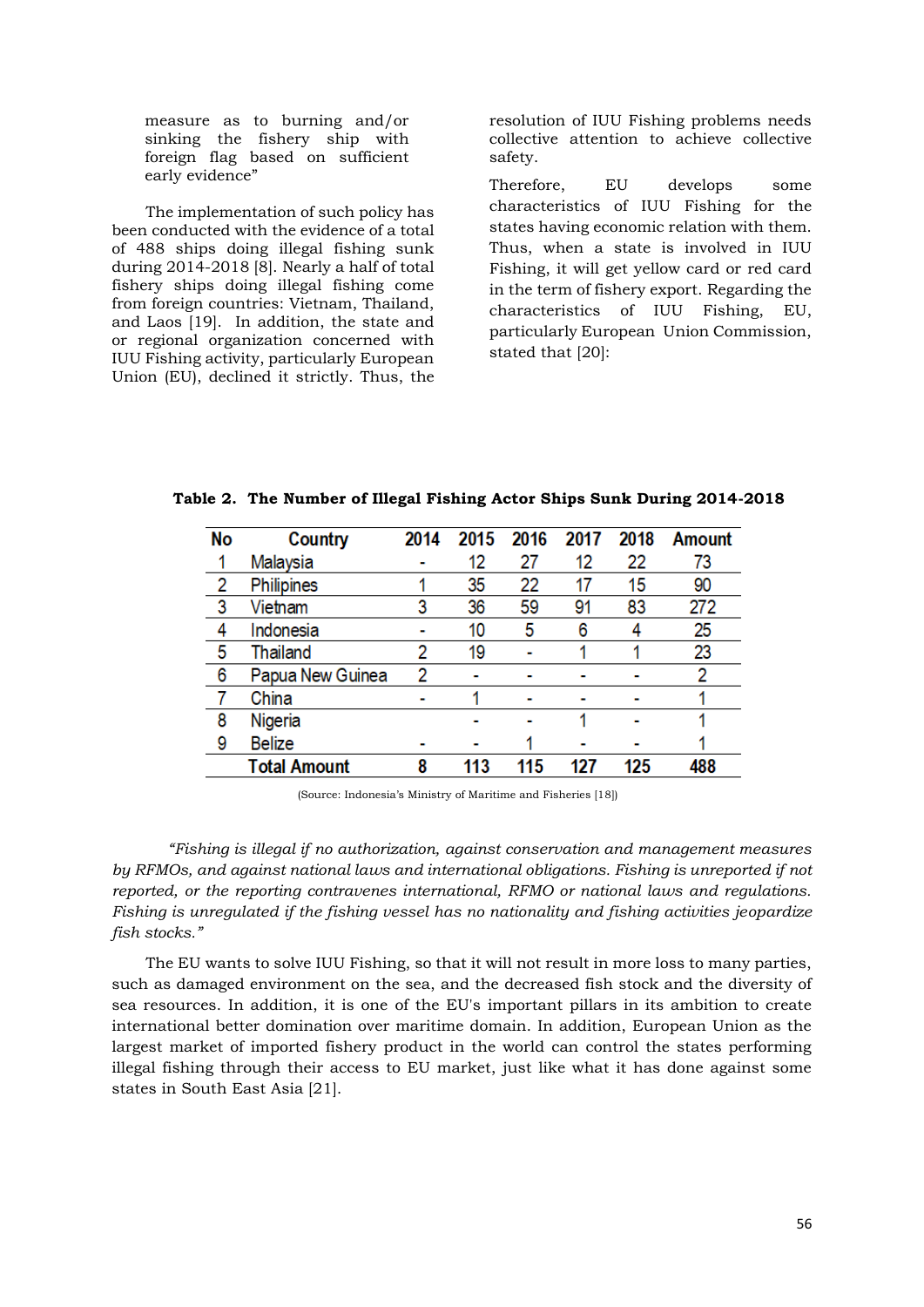measure as to burning and/or sinking the fishery ship with foreign flag based on sufficient early evidence"

The implementation of such policy has been conducted with the evidence of a total of 488 ships doing illegal fishing sunk during 2014-2018 [8]. Nearly a half of total fishery ships doing illegal fishing come from foreign countries: Vietnam, Thailand, and Laos [19]. In addition, the state and or regional organization concerned with IUU Fishing activity, particularly European Union (EU), declined it strictly. Thus, the resolution of IUU Fishing problems needs collective attention to achieve collective safety.

Therefore, EU develops some characteristics of IUU Fishing for the states having economic relation with them. Thus, when a state is involved in IUU Fishing, it will get yellow card or red card in the term of fishery export. Regarding the characteristics of IUU Fishing, EU, particularly European Union Commission, stated that [20]:

| <b>No</b>               | Country          | 2014 | 2015 | 2016 | 2017 | 2018 | <b>Amount</b> |
|-------------------------|------------------|------|------|------|------|------|---------------|
|                         | Malaysia         |      | 12   | 27   | 12   | 22   | 73            |
| 2                       | Philipines       |      | 35   | 22   | 17   | 15   | 90            |
| $\overline{\mathbf{3}}$ | Vietnam          | 3    | 36   | 59   | 91   | 83   | 272           |
| 4                       | Indonesia        |      | 10   | 5    | 6    | 4    | 25            |
| 5                       | <b>Thailand</b>  | 2    | 19   |      |      |      | 23            |
| 6                       | Papua New Guinea | 2    |      |      |      |      | 2             |
|                         | China            |      |      |      |      |      |               |
| 8                       | Nigeria          |      |      |      |      |      |               |
| 9                       | <b>Belize</b>    |      |      |      |      |      |               |
| <b>Total Amount</b>     |                  | ጸ    | 113  | 115  | 127  | 125  | 488           |

**Table 2. The Number of Illegal Fishing Actor Ships Sunk During 2014-2018**

(Source: Indonesia's Ministry of Maritime and Fisheries [18])

*"Fishing is illegal if no authorization, against conservation and management measures by RFMOs, and against national laws and international obligations. Fishing is unreported if not reported, or the reporting contravenes international, RFMO or national laws and regulations. Fishing is unregulated if the fishing vessel has no nationality and fishing activities jeopardize fish stocks."*

The EU wants to solve IUU Fishing, so that it will not result in more loss to many parties, such as damaged environment on the sea, and the decreased fish stock and the diversity of sea resources. In addition, it is one of the EU's important pillars in its ambition to create international better domination over maritime domain. In addition, European Union as the largest market of imported fishery product in the world can control the states performing illegal fishing through their access to EU market, just like what it has done against some states in South East Asia [21].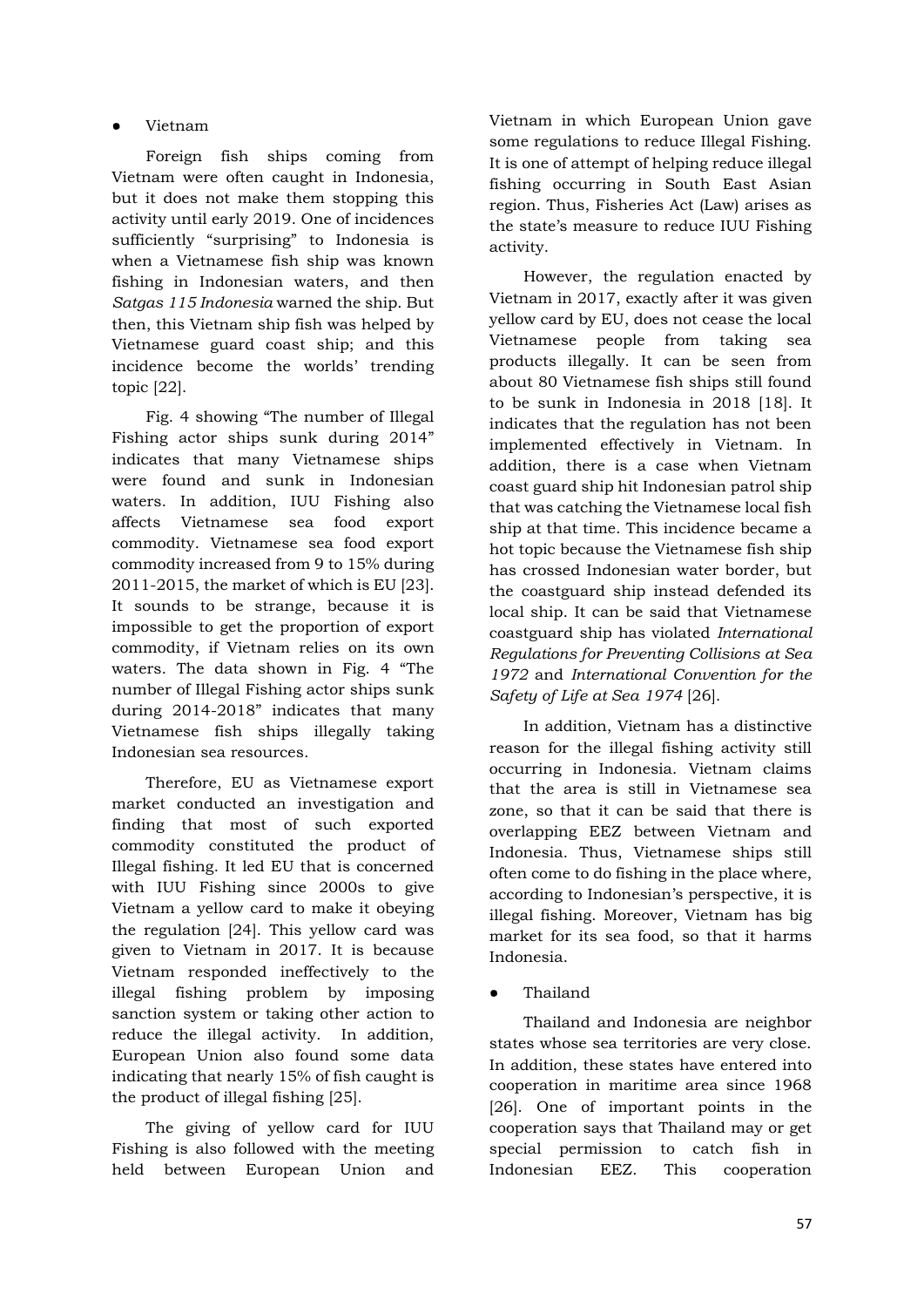### ● Vietnam

Foreign fish ships coming from Vietnam were often caught in Indonesia, but it does not make them stopping this activity until early 2019. One of incidences sufficiently "surprising" to Indonesia is when a Vietnamese fish ship was known fishing in Indonesian waters, and then *Satgas 115 Indonesia* warned the ship. But then, this Vietnam ship fish was helped by Vietnamese guard coast ship; and this incidence become the worlds' trending topic [22].

Fig. 4 showing "The number of Illegal Fishing actor ships sunk during 2014" indicates that many Vietnamese ships were found and sunk in Indonesian waters. In addition, IUU Fishing also affects Vietnamese sea food export commodity. Vietnamese sea food export commodity increased from 9 to 15% during 2011-2015, the market of which is EU [23]. It sounds to be strange, because it is impossible to get the proportion of export commodity, if Vietnam relies on its own waters. The data shown in Fig. 4 "The number of Illegal Fishing actor ships sunk during 2014-2018" indicates that many Vietnamese fish ships illegally taking Indonesian sea resources.

Therefore, EU as Vietnamese export market conducted an investigation and finding that most of such exported commodity constituted the product of Illegal fishing. It led EU that is concerned with IUU Fishing since 2000s to give Vietnam a yellow card to make it obeying the regulation [24]. This yellow card was given to Vietnam in 2017. It is because Vietnam responded ineffectively to the illegal fishing problem by imposing sanction system or taking other action to reduce the illegal activity. In addition, European Union also found some data indicating that nearly 15% of fish caught is the product of illegal fishing [25].

The giving of yellow card for IUU Fishing is also followed with the meeting held between European Union and

Vietnam in which European Union gave some regulations to reduce Illegal Fishing. It is one of attempt of helping reduce illegal fishing occurring in South East Asian region. Thus, Fisheries Act (Law) arises as the state's measure to reduce IUU Fishing activity.

However, the regulation enacted by Vietnam in 2017, exactly after it was given yellow card by EU, does not cease the local Vietnamese people from taking sea products illegally. It can be seen from about 80 Vietnamese fish ships still found to be sunk in Indonesia in 2018 [18]. It indicates that the regulation has not been implemented effectively in Vietnam. In addition, there is a case when Vietnam coast guard ship hit Indonesian patrol ship that was catching the Vietnamese local fish ship at that time. This incidence became a hot topic because the Vietnamese fish ship has crossed Indonesian water border, but the coastguard ship instead defended its local ship. It can be said that Vietnamese coastguard ship has violated *International Regulations for Preventing Collisions at Sea 1972* and *International Convention for the Safety of Life at Sea 1974* [26].

In addition, Vietnam has a distinctive reason for the illegal fishing activity still occurring in Indonesia. Vietnam claims that the area is still in Vietnamese sea zone, so that it can be said that there is overlapping EEZ between Vietnam and Indonesia. Thus, Vietnamese ships still often come to do fishing in the place where, according to Indonesian's perspective, it is illegal fishing. Moreover, Vietnam has big market for its sea food, so that it harms Indonesia.

Thailand

Thailand and Indonesia are neighbor states whose sea territories are very close. In addition, these states have entered into cooperation in maritime area since 1968 [26]. One of important points in the cooperation says that Thailand may or get special permission to catch fish in Indonesian EEZ. This cooperation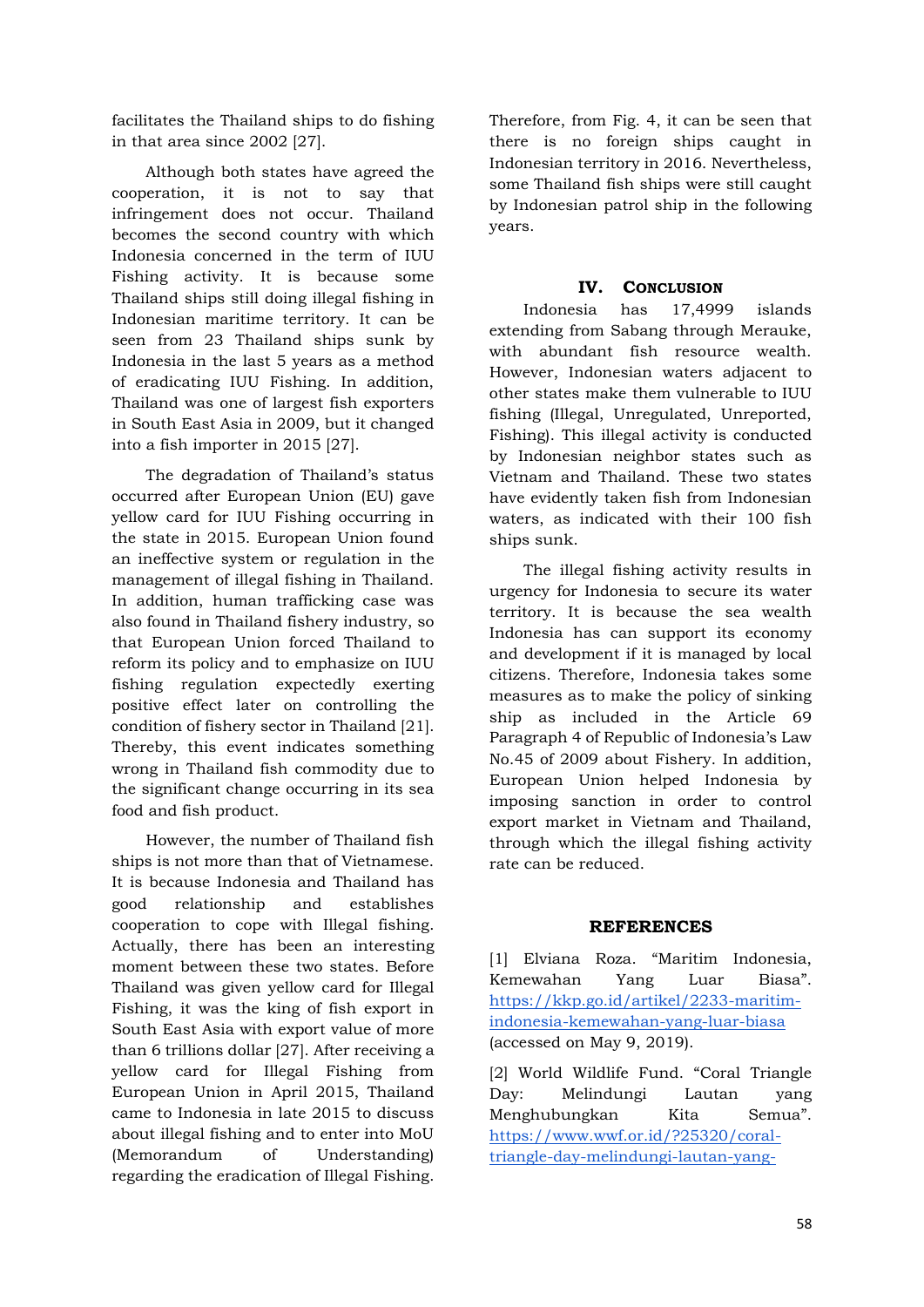facilitates the Thailand ships to do fishing in that area since 2002 [27].

Although both states have agreed the cooperation, it is not to say that infringement does not occur. Thailand becomes the second country with which Indonesia concerned in the term of IUU Fishing activity. It is because some Thailand ships still doing illegal fishing in Indonesian maritime territory. It can be seen from 23 Thailand ships sunk by Indonesia in the last 5 years as a method of eradicating IUU Fishing. In addition, Thailand was one of largest fish exporters in South East Asia in 2009, but it changed into a fish importer in 2015 [27].

The degradation of Thailand's status occurred after European Union (EU) gave yellow card for IUU Fishing occurring in the state in 2015. European Union found an ineffective system or regulation in the management of illegal fishing in Thailand. In addition, human trafficking case was also found in Thailand fishery industry, so that European Union forced Thailand to reform its policy and to emphasize on IUU fishing regulation expectedly exerting positive effect later on controlling the condition of fishery sector in Thailand [21]. Thereby, this event indicates something wrong in Thailand fish commodity due to the significant change occurring in its sea food and fish product.

However, the number of Thailand fish ships is not more than that of Vietnamese. It is because Indonesia and Thailand has good relationship and establishes cooperation to cope with Illegal fishing. Actually, there has been an interesting moment between these two states. Before Thailand was given yellow card for Illegal Fishing, it was the king of fish export in South East Asia with export value of more than 6 trillions dollar [27]. After receiving a yellow card for Illegal Fishing from European Union in April 2015, Thailand came to Indonesia in late 2015 to discuss about illegal fishing and to enter into MoU (Memorandum of Understanding) regarding the eradication of Illegal Fishing.

Therefore, from Fig. 4, it can be seen that there is no foreign ships caught in Indonesian territory in 2016. Nevertheless, some Thailand fish ships were still caught by Indonesian patrol ship in the following years.

### **IV. CONCLUSION**

Indonesia has 17,4999 islands extending from Sabang through Merauke, with abundant fish resource wealth. However, Indonesian waters adjacent to other states make them vulnerable to IUU fishing (Illegal, Unregulated, Unreported, Fishing). This illegal activity is conducted by Indonesian neighbor states such as Vietnam and Thailand. These two states have evidently taken fish from Indonesian waters, as indicated with their 100 fish ships sunk.

The illegal fishing activity results in urgency for Indonesia to secure its water territory. It is because the sea wealth Indonesia has can support its economy and development if it is managed by local citizens. Therefore, Indonesia takes some measures as to make the policy of sinking ship as included in the Article 69 Paragraph 4 of Republic of Indonesia's Law No.45 of 2009 about Fishery. In addition, European Union helped Indonesia by imposing sanction in order to control export market in Vietnam and Thailand, through which the illegal fishing activity rate can be reduced.

# **REFERENCES**

[1] Elviana Roza. "Maritim Indonesia, Kemewahan Yang Luar Biasa". [https://kkp.go.id/artikel/2233-maritim](https://kkp.go.id/artikel/2233-maritim-indonesia-kemewahan-yang-luar-biasa)[indonesia-kemewahan-yang-luar-biasa](https://kkp.go.id/artikel/2233-maritim-indonesia-kemewahan-yang-luar-biasa) (accessed on May 9, 2019).

[2] World Wildlife Fund. "Coral Triangle Day: Melindungi Lautan yang Menghubungkan Kita Semua". [https://www.wwf.or.id/?25320/coral](https://www.wwf.or.id/?25320/coral-triangle-day-melindungi-lautan-yang-menghubungkan-kita-semua)[triangle-day-melindungi-lautan-yang-](https://www.wwf.or.id/?25320/coral-triangle-day-melindungi-lautan-yang-menghubungkan-kita-semua)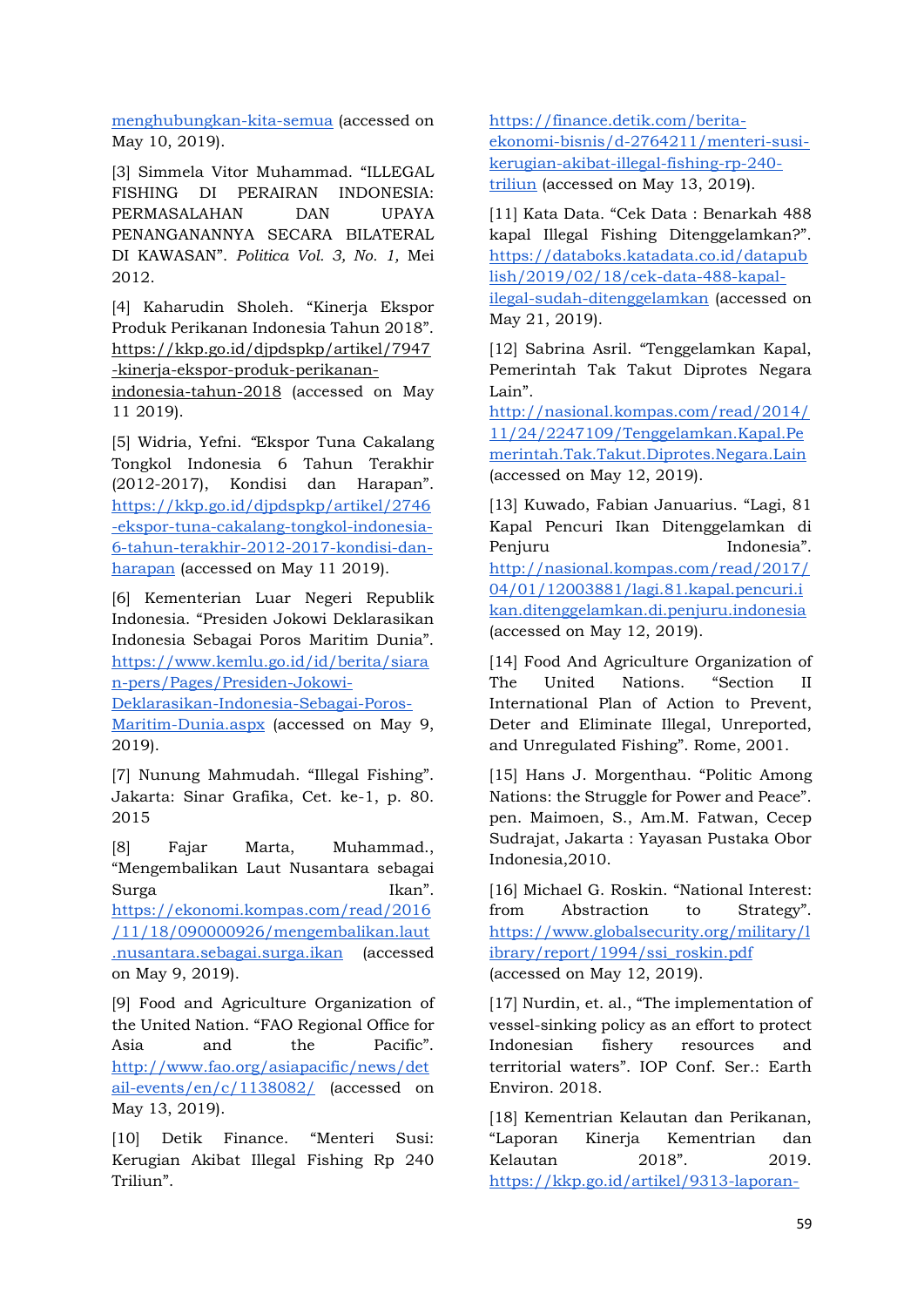[menghubungkan-kita-semua](https://www.wwf.or.id/?25320/coral-triangle-day-melindungi-lautan-yang-menghubungkan-kita-semua) (accessed on May 10, 2019).

[3] Simmela Vitor Muhammad. "ILLEGAL FISHING DI PERAIRAN INDONESIA: PERMASALAHAN DAN UPAYA PENANGANANNYA SECARA BILATERAL DI KAWASAN". *Politica Vol. 3, No. 1,* Mei 2012.

[4] Kaharudin Sholeh. "Kinerja Ekspor Produk Perikanan Indonesia Tahun 2018". [https://kkp.go.id/djpdspkp/artikel/7947](https://kkp.go.id/djpdspkp/artikel/7947-kinerja-ekspor-produk-perikanan-indonesia-tahun-2018) [-kinerja-ekspor-produk-perikanan](https://kkp.go.id/djpdspkp/artikel/7947-kinerja-ekspor-produk-perikanan-indonesia-tahun-2018)[indonesia-tahun-2018](https://kkp.go.id/djpdspkp/artikel/7947-kinerja-ekspor-produk-perikanan-indonesia-tahun-2018) (accessed on May 11 2019).

[5] Widria, Yefni. *"*Ekspor Tuna Cakalang Tongkol Indonesia 6 Tahun Terakhir (2012-2017), Kondisi dan Harapan". [https://kkp.go.id/djpdspkp/artikel/2746](https://kkp.go.id/djpdspkp/artikel/2746-ekspor-tuna-cakalang-tongkol-indonesia-6-tahun-terakhir-2012-2017-kondisi-dan-harapan) [-ekspor-tuna-cakalang-tongkol-indonesia-](https://kkp.go.id/djpdspkp/artikel/2746-ekspor-tuna-cakalang-tongkol-indonesia-6-tahun-terakhir-2012-2017-kondisi-dan-harapan)[6-tahun-terakhir-2012-2017-kondisi-dan](https://kkp.go.id/djpdspkp/artikel/2746-ekspor-tuna-cakalang-tongkol-indonesia-6-tahun-terakhir-2012-2017-kondisi-dan-harapan)[harapan](https://kkp.go.id/djpdspkp/artikel/2746-ekspor-tuna-cakalang-tongkol-indonesia-6-tahun-terakhir-2012-2017-kondisi-dan-harapan) (accessed on May 11 2019).

[6] Kementerian Luar Negeri Republik Indonesia. "Presiden Jokowi Deklarasikan Indonesia Sebagai Poros Maritim Dunia". [https://www.kemlu.go.id/id/berita/siara](https://www.kemlu.go.id/id/berita/siaran-pers/Pages/Presiden-Jokowi-Deklarasikan-Indonesia-Sebagai-Poros-Maritim-Dunia.aspx) [n-pers/Pages/Presiden-Jokowi-](https://www.kemlu.go.id/id/berita/siaran-pers/Pages/Presiden-Jokowi-Deklarasikan-Indonesia-Sebagai-Poros-Maritim-Dunia.aspx)[Deklarasikan-Indonesia-Sebagai-Poros-](https://www.kemlu.go.id/id/berita/siaran-pers/Pages/Presiden-Jokowi-Deklarasikan-Indonesia-Sebagai-Poros-Maritim-Dunia.aspx)[Maritim-Dunia.aspx](https://www.kemlu.go.id/id/berita/siaran-pers/Pages/Presiden-Jokowi-Deklarasikan-Indonesia-Sebagai-Poros-Maritim-Dunia.aspx) (accessed on May 9,

2019).

[7] Nunung Mahmudah. "Illegal Fishing". Jakarta: Sinar Grafika, Cet. ke-1, p. 80. 2015

[8] Fajar Marta, Muhammad., "Mengembalikan Laut Nusantara sebagai Surga Ikan". [https://ekonomi.kompas.com/read/2016](https://ekonomi.kompas.com/read/2016/11/18/090000926/mengembalikan.laut.nusantara.sebagai.surga.ikan) [/11/18/090000926/mengembalikan.laut](https://ekonomi.kompas.com/read/2016/11/18/090000926/mengembalikan.laut.nusantara.sebagai.surga.ikan) [.nusantara.sebagai.surga.ikan](https://ekonomi.kompas.com/read/2016/11/18/090000926/mengembalikan.laut.nusantara.sebagai.surga.ikan) (accessed on May 9, 2019).

[9] Food and Agriculture Organization of the United Nation. "FAO Regional Office for Asia and the Pacific". [http://www.fao.org/asiapacific/news/det](http://www.fao.org/asiapacific/news/detail-events/en/c/1138082/) [ail-events/en/c/1138082/](http://www.fao.org/asiapacific/news/detail-events/en/c/1138082/) (accessed on May 13, 2019).

[10] Detik Finance. "Menteri Susi: Kerugian Akibat Illegal Fishing Rp 240 Triliun".

[https://finance.detik.com/berita](https://finance.detik.com/berita-ekonomi-bisnis/d-2764211/menteri-susi-kerugian-akibat-illegal-fishing-rp-240-triliun)[ekonomi-bisnis/d-2764211/menteri-susi](https://finance.detik.com/berita-ekonomi-bisnis/d-2764211/menteri-susi-kerugian-akibat-illegal-fishing-rp-240-triliun)[kerugian-akibat-illegal-fishing-rp-240](https://finance.detik.com/berita-ekonomi-bisnis/d-2764211/menteri-susi-kerugian-akibat-illegal-fishing-rp-240-triliun) [triliun](https://finance.detik.com/berita-ekonomi-bisnis/d-2764211/menteri-susi-kerugian-akibat-illegal-fishing-rp-240-triliun) (accessed on May 13, 2019).

[11] Kata Data. "Cek Data : Benarkah 488 kapal Illegal Fishing Ditenggelamkan?". [https://databoks.katadata.co.id/datapub](https://databoks.katadata.co.id/datapublish/2019/02/18/cek-data-488-kapal-ilegal-sudah-ditenggelamkan) [lish/2019/02/18/cek-data-488-kapal](https://databoks.katadata.co.id/datapublish/2019/02/18/cek-data-488-kapal-ilegal-sudah-ditenggelamkan)[ilegal-sudah-ditenggelamkan](https://databoks.katadata.co.id/datapublish/2019/02/18/cek-data-488-kapal-ilegal-sudah-ditenggelamkan) (accessed on May 21, 2019).

[12] Sabrina Asril. "Tenggelamkan Kapal, Pemerintah Tak Takut Diprotes Negara Lain".

[http://nasional.kompas.com/read/2014/](http://nasional.kompas.com/read/2014/11/24/2247109/Tenggelamkan.Kapal.Pemerintah.Tak.Takut.Diprotes.Negara.Lain) [11/24/2247109/Tenggelamkan.Kapal.Pe](http://nasional.kompas.com/read/2014/11/24/2247109/Tenggelamkan.Kapal.Pemerintah.Tak.Takut.Diprotes.Negara.Lain) [merintah.Tak.Takut.Diprotes.Negara.Lain](http://nasional.kompas.com/read/2014/11/24/2247109/Tenggelamkan.Kapal.Pemerintah.Tak.Takut.Diprotes.Negara.Lain)  (accessed on May 12, 2019).

[13] Kuwado, Fabian Januarius. "Lagi, 81 Kapal Pencuri Ikan Ditenggelamkan di Penjuru Indonesia". [http://nasional.kompas.com/read/2017/](http://nasional.kompas.com/read/2017/04/01/12003881/lagi.81.kapal.pencuri.ikan.ditenggelamkan.di.penjuru.indonesia) [04/01/12003881/lagi.81.kapal.pencuri.i](http://nasional.kompas.com/read/2017/04/01/12003881/lagi.81.kapal.pencuri.ikan.ditenggelamkan.di.penjuru.indonesia) [kan.ditenggelamkan.di.penjuru.indonesia](http://nasional.kompas.com/read/2017/04/01/12003881/lagi.81.kapal.pencuri.ikan.ditenggelamkan.di.penjuru.indonesia) (accessed on May 12, 2019).

[14] Food And Agriculture Organization of The United Nations. "Section II International Plan of Action to Prevent, Deter and Eliminate Illegal, Unreported, and Unregulated Fishing". Rome, 2001.

[15] Hans J. Morgenthau. "Politic Among Nations: the Struggle for Power and Peace". pen. Maimoen, S., Am.M. Fatwan, Cecep Sudrajat, Jakarta : Yayasan Pustaka Obor Indonesia,2010.

[16] Michael G. Roskin. "National Interest: from Abstraction to Strategy". [https://www.globalsecurity.org/military/l](https://www.globalsecurity.org/military/library/report/1994/ssi_roskin.pdf) [ibrary/report/1994/ssi\\_roskin.pdf](https://www.globalsecurity.org/military/library/report/1994/ssi_roskin.pdf) (accessed on May 12, 2019).

[17] Nurdin, et. al., "The implementation of vessel-sinking policy as an effort to protect Indonesian fishery resources and territorial waters". IOP Conf. Ser.: Earth Environ. 2018.

[18] Kementrian Kelautan dan Perikanan, "Laporan Kinerja Kementrian dan Kelautan 2018". 2019. [https://kkp.go.id/artikel/9313-laporan-](https://kkp.go.id/artikel/9313-laporan-kinerja-kkp-2018)